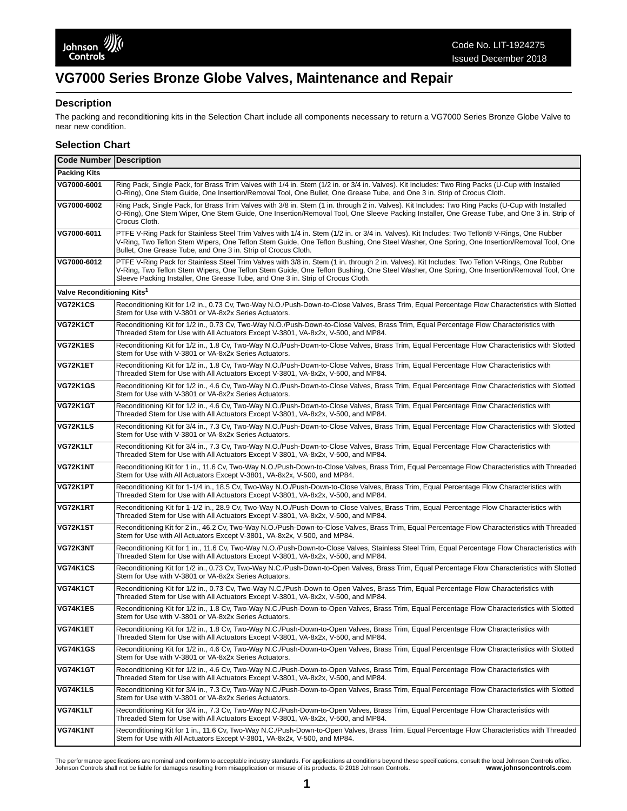# **VG7000 Series Bronze Globe Valves, Maintenance and Repair**

#### **Description**

The packing and reconditioning kits in the Selection Chart include all components necessary to return a VG7000 Series Bronze Globe Valve to near new condition.

### **Selection Chart**

| <b>Code Number   Description</b>       |                                                                                                                                                                                                                                                                                                                                                                              |  |  |
|----------------------------------------|------------------------------------------------------------------------------------------------------------------------------------------------------------------------------------------------------------------------------------------------------------------------------------------------------------------------------------------------------------------------------|--|--|
| <b>Packing Kits</b>                    |                                                                                                                                                                                                                                                                                                                                                                              |  |  |
| VG7000-6001                            | Ring Pack, Single Pack, for Brass Trim Valves with 1/4 in. Stem (1/2 in. or 3/4 in. Valves). Kit Includes: Two Ring Packs (U-Cup with Installed<br>O-Ring), One Stem Guide, One Insertion/Removal Tool, One Bullet, One Grease Tube, and One 3 in. Strip of Crocus Cloth.                                                                                                    |  |  |
| VG7000-6002                            | Ring Pack, Single Pack, for Brass Trim Valves with 3/8 in. Stem (1 in. through 2 in. Valves). Kit Includes: Two Ring Packs (U-Cup with Installed<br>O-Ring), One Stem Wiper, One Stem Guide, One Insertion/Removal Tool, One Sleeve Packing Installer, One Grease Tube, and One 3 in. Strip of<br>Crocus Cloth.                                                              |  |  |
| VG7000-6011                            | PTFE V-Ring Pack for Stainless Steel Trim Valves with 1/4 in. Stem (1/2 in. or 3/4 in. Valves). Kit Includes: Two Teflon® V-Rings, One Rubber<br>V-Ring, Two Teflon Stem Wipers, One Teflon Stem Guide, One Teflon Bushing, One Steel Washer, One Spring, One Insertion/Removal Tool, One<br>Bullet, One Grease Tube, and One 3 in. Strip of Crocus Cloth.                   |  |  |
| VG7000-6012                            | PTFE V-Ring Pack for Stainless Steel Trim Valves with 3/8 in. Stem (1 in. through 2 in. Valves). Kit Includes: Two Teflon V-Rings, One Rubber<br>V-Ring, Two Teflon Stem Wipers, One Teflon Stem Guide, One Teflon Bushing, One Steel Washer, One Spring, One Insertion/Removal Tool, One<br>Sleeve Packing Installer, One Grease Tube, and One 3 in. Strip of Crocus Cloth. |  |  |
| Valve Reconditioning Kits <sup>1</sup> |                                                                                                                                                                                                                                                                                                                                                                              |  |  |
| VG72K1CS                               | Reconditioning Kit for 1/2 in., 0.73 Cv, Two-Way N.O./Push-Down-to-Close Valves, Brass Trim, Equal Percentage Flow Characteristics with Slotted<br>Stem for Use with V-3801 or VA-8x2x Series Actuators.                                                                                                                                                                     |  |  |
| VG72K1CT                               | Reconditioning Kit for 1/2 in., 0.73 Cv, Two-Way N.O./Push-Down-to-Close Valves, Brass Trim, Equal Percentage Flow Characteristics with<br>Threaded Stem for Use with All Actuators Except V-3801, VA-8x2x, V-500, and MP84.                                                                                                                                                 |  |  |
| VG72K1ES                               | Reconditioning Kit for 1/2 in., 1.8 Cv, Two-Way N.O./Push-Down-to-Close Valves, Brass Trim, Equal Percentage Flow Characteristics with Slotted<br>Stem for Use with V-3801 or VA-8x2x Series Actuators.                                                                                                                                                                      |  |  |
| VG72K1ET                               | Reconditioning Kit for 1/2 in., 1.8 Cv, Two-Way N.O./Push-Down-to-Close Valves, Brass Trim, Equal Percentage Flow Characteristics with<br>Threaded Stem for Use with All Actuators Except V-3801, VA-8x2x, V-500, and MP84.                                                                                                                                                  |  |  |
| <b>VG72K1GS</b>                        | Reconditioning Kit for 1/2 in., 4.6 Cv, Two-Way N.O./Push-Down-to-Close Valves, Brass Trim, Equal Percentage Flow Characteristics with Slotted<br>Stem for Use with V-3801 or VA-8x2x Series Actuators.                                                                                                                                                                      |  |  |
| VG72K1GT                               | Reconditioning Kit for 1/2 in., 4.6 Cv, Two-Way N.O./Push-Down-to-Close Valves, Brass Trim, Equal Percentage Flow Characteristics with<br>Threaded Stem for Use with All Actuators Except V-3801, VA-8x2x, V-500, and MP84.                                                                                                                                                  |  |  |
| VG72K1LS                               | Reconditioning Kit for 3/4 in., 7.3 Cv, Two-Way N.O./Push-Down-to-Close Valves, Brass Trim, Equal Percentage Flow Characteristics with Slotted<br>Stem for Use with V-3801 or VA-8x2x Series Actuators.                                                                                                                                                                      |  |  |
| VG72K1LT                               | Reconditioning Kit for 3/4 in., 7.3 Cv, Two-Way N.O./Push-Down-to-Close Valves, Brass Trim, Equal Percentage Flow Characteristics with<br>Threaded Stem for Use with All Actuators Except V-3801, VA-8x2x, V-500, and MP84.                                                                                                                                                  |  |  |
| VG72K1NT                               | Reconditioning Kit for 1 in., 11.6 Cv, Two-Way N.O./Push-Down-to-Close Valves, Brass Trim, Equal Percentage Flow Characteristics with Threaded<br>Stem for Use with All Actuators Except V-3801, VA-8x2x, V-500, and MP84.                                                                                                                                                   |  |  |
| VG72K1PT                               | Reconditioning Kit for 1-1/4 in., 18.5 Cv, Two-Way N.O./Push-Down-to-Close Valves, Brass Trim, Equal Percentage Flow Characteristics with<br>Threaded Stem for Use with All Actuators Except V-3801, VA-8x2x, V-500, and MP84.                                                                                                                                               |  |  |
| VG72K1RT                               | Reconditioning Kit for 1-1/2 in., 28.9 Cv, Two-Way N.O./Push-Down-to-Close Valves, Brass Trim, Equal Percentage Flow Characteristics with<br>Threaded Stem for Use with All Actuators Except V-3801, VA-8x2x, V-500, and MP84.                                                                                                                                               |  |  |
| VG72K1ST                               | Reconditioning Kit for 2 in., 46.2 Cv, Two-Way N.O./Push-Down-to-Close Valves, Brass Trim, Equal Percentage Flow Characteristics with Threaded<br>Stem for Use with All Actuators Except V-3801, VA-8x2x, V-500, and MP84.                                                                                                                                                   |  |  |
| VG72K3NT                               | Reconditioning Kit for 1 in., 11.6 Cv, Two-Way N.O./Push-Down-to-Close Valves, Stainless Steel Trim, Equal Percentage Flow Characteristics with<br>Threaded Stem for Use with All Actuators Except V-3801, VA-8x2x, V-500, and MP84.                                                                                                                                         |  |  |
| VG74K1CS                               | Reconditioning Kit for 1/2 in., 0.73 Cv, Two-Way N.C./Push-Down-to-Open Valves, Brass Trim, Equal Percentage Flow Characteristics with Slotted<br>Stem for Use with V-3801 or VA-8x2x Series Actuators.                                                                                                                                                                      |  |  |
| VG74K1CT                               | Reconditioning Kit for 1/2 in., 0.73 Cv, Two-Way N.C./Push-Down-to-Open Valves, Brass Trim, Equal Percentage Flow Characteristics with<br>Threaded Stem for Use with All Actuators Except V-3801, VA-8x2x, V-500, and MP84.                                                                                                                                                  |  |  |
| VG74K1ES                               | Reconditioning Kit for 1/2 in., 1.8 Cv, Two-Way N.C./Push-Down-to-Open Valves, Brass Trim, Equal Percentage Flow Characteristics with Slotted<br>Stem for Use with V-3801 or VA-8x2x Series Actuators.                                                                                                                                                                       |  |  |
| VG74K1ET                               | Reconditioning Kit for 1/2 in., 1.8 Cv, Two-Way N.C./Push-Down-to-Open Valves, Brass Trim, Equal Percentage Flow Characteristics with<br>Threaded Stem for Use with All Actuators Except V-3801, VA-8x2x, V-500, and MP84.                                                                                                                                                   |  |  |
| <b>VG74K1GS</b>                        | Reconditioning Kit for 1/2 in., 4.6 Cv, Two-Way N.C./Push-Down-to-Open Valves, Brass Trim, Equal Percentage Flow Characteristics with Slotted<br>Stem for Use with V-3801 or VA-8x2x Series Actuators.                                                                                                                                                                       |  |  |
| VG74K1GT                               | Reconditioning Kit for 1/2 in., 4.6 Cv, Two-Way N.C./Push-Down-to-Open Valves, Brass Trim, Equal Percentage Flow Characteristics with<br>Threaded Stem for Use with All Actuators Except V-3801, VA-8x2x, V-500, and MP84.                                                                                                                                                   |  |  |
| VG74K1LS                               | Reconditioning Kit for 3/4 in., 7.3 Cv, Two-Way N.C./Push-Down-to-Open Valves, Brass Trim, Equal Percentage Flow Characteristics with Slotted<br>Stem for Use with V-3801 or VA-8x2x Series Actuators.                                                                                                                                                                       |  |  |
| VG74K1LT                               | Reconditioning Kit for 3/4 in., 7.3 Cv, Two-Way N.C./Push-Down-to-Open Valves, Brass Trim, Equal Percentage Flow Characteristics with<br>Threaded Stem for Use with All Actuators Except V-3801, VA-8x2x, V-500, and MP84.                                                                                                                                                   |  |  |
| VG74K1NT                               | Reconditioning Kit for 1 in., 11.6 Cv, Two-Way N.C./Push-Down-to-Open Valves, Brass Trim, Equal Percentage Flow Characteristics with Threaded<br>Stem for Use with All Actuators Except V-3801, VA-8x2x, V-500, and MP84.                                                                                                                                                    |  |  |

The performance specifications are nominal and conform to acceptable industry standards. For applications at conditions beyond these specifications, consult the local Johnson Controls office.<br>Johnson Controls shall not be